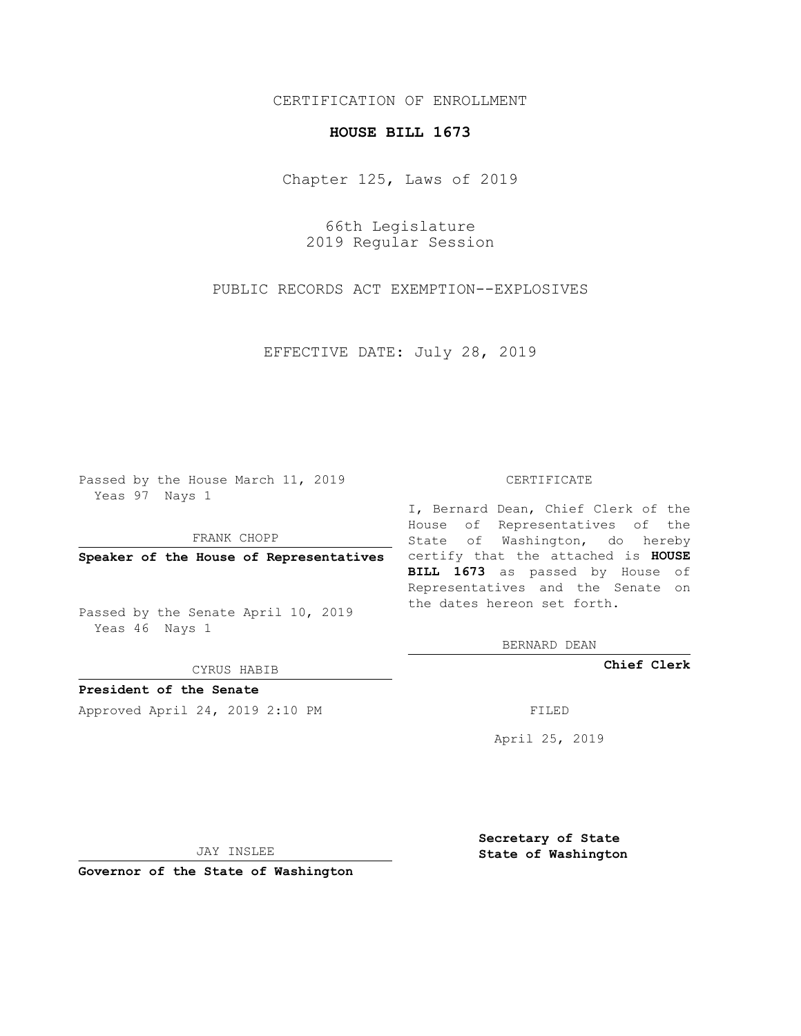## CERTIFICATION OF ENROLLMENT

## **HOUSE BILL 1673**

Chapter 125, Laws of 2019

66th Legislature 2019 Regular Session

PUBLIC RECORDS ACT EXEMPTION--EXPLOSIVES

EFFECTIVE DATE: July 28, 2019

Passed by the House March 11, 2019 Yeas 97 Nays 1

FRANK CHOPP

Passed by the Senate April 10, 2019 Yeas 46 Nays 1

CYRUS HABIB

**President of the Senate**

Approved April 24, 2019 2:10 PM FILED

## CERTIFICATE

**Speaker of the House of Representatives** certify that the attached is **HOUSE** I, Bernard Dean, Chief Clerk of the House of Representatives of the State of Washington, do hereby **BILL 1673** as passed by House of Representatives and the Senate on the dates hereon set forth.

BERNARD DEAN

**Chief Clerk**

April 25, 2019

JAY INSLEE

**Governor of the State of Washington**

**Secretary of State State of Washington**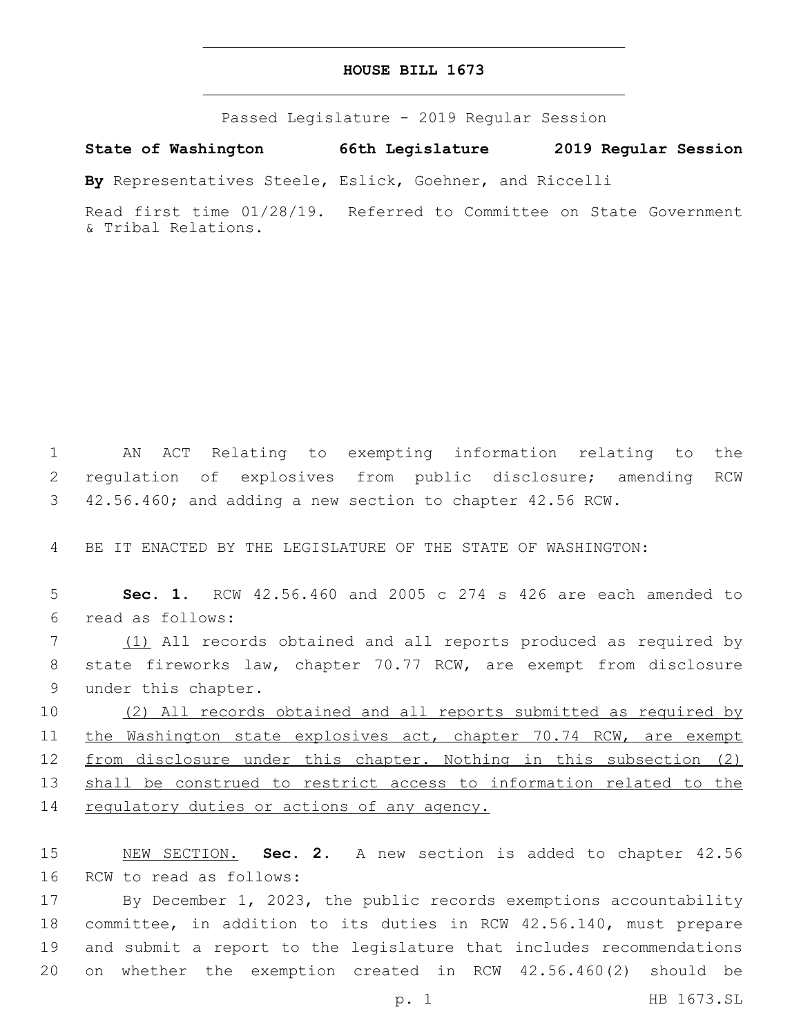## **HOUSE BILL 1673**

Passed Legislature - 2019 Regular Session

**State of Washington 66th Legislature 2019 Regular Session**

**By** Representatives Steele, Eslick, Goehner, and Riccelli

Read first time 01/28/19. Referred to Committee on State Government & Tribal Relations.

1 AN ACT Relating to exempting information relating to the 2 regulation of explosives from public disclosure; amending RCW 3 42.56.460; and adding a new section to chapter 42.56 RCW.

4 BE IT ENACTED BY THE LEGISLATURE OF THE STATE OF WASHINGTON:

5 **Sec. 1.** RCW 42.56.460 and 2005 c 274 s 426 are each amended to read as follows:6

7 (1) All records obtained and all reports produced as required by 8 state fireworks law, chapter 70.77 RCW, are exempt from disclosure 9 under this chapter.

10 (2) All records obtained and all reports submitted as required by 11 the Washington state explosives act, chapter 70.74 RCW, are exempt 12 from disclosure under this chapter. Nothing in this subsection (2) 13 shall be construed to restrict access to information related to the 14 regulatory duties or actions of any agency.

15 NEW SECTION. **Sec. 2.** A new section is added to chapter 42.56 16 RCW to read as follows:

 By December 1, 2023, the public records exemptions accountability committee, in addition to its duties in RCW 42.56.140, must prepare and submit a report to the legislature that includes recommendations on whether the exemption created in RCW 42.56.460(2) should be